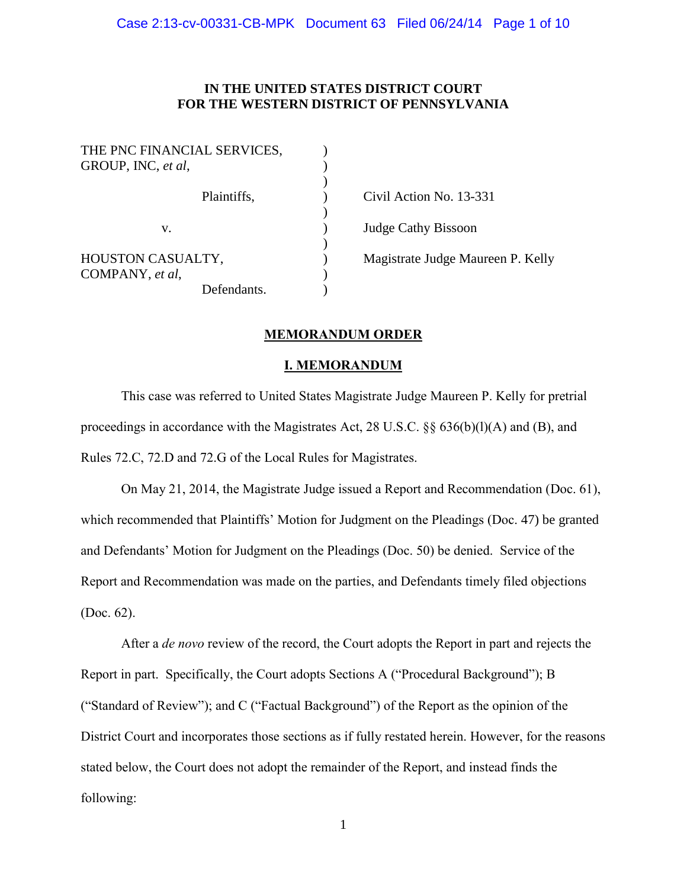## **IN THE UNITED STATES DISTRICT COURT FOR THE WESTERN DISTRICT OF PENNSYLVANIA**

| THE PNC FINANCIAL SERVICES,<br>GROUP, INC, et al, |                                   |
|---------------------------------------------------|-----------------------------------|
| Plaintiffs,                                       | Civil Action No. 13-331           |
| v.                                                | Judge Cathy Bissoon               |
| HOUSTON CASUALTY,<br>COMPANY, et al,              | Magistrate Judge Maureen P. Kelly |
| Defendants.                                       |                                   |

## **MEMORANDUM ORDER**

## **I. MEMORANDUM**

This case was referred to United States Magistrate Judge Maureen P. Kelly for pretrial proceedings in accordance with the Magistrates Act, 28 U.S.C. §§ 636(b)(l)(A) and (B), and Rules 72.C, 72.D and 72.G of the Local Rules for Magistrates.

On May 21, 2014, the Magistrate Judge issued a Report and Recommendation (Doc. 61), which recommended that Plaintiffs' Motion for Judgment on the Pleadings (Doc. 47) be granted and Defendants' Motion for Judgment on the Pleadings (Doc. 50) be denied. Service of the Report and Recommendation was made on the parties, and Defendants timely filed objections (Doc. 62).

After a *de novo* review of the record, the Court adopts the Report in part and rejects the Report in part. Specifically, the Court adopts Sections A ("Procedural Background"); B ("Standard of Review"); and C ("Factual Background") of the Report as the opinion of the District Court and incorporates those sections as if fully restated herein. However, for the reasons stated below, the Court does not adopt the remainder of the Report, and instead finds the following:

1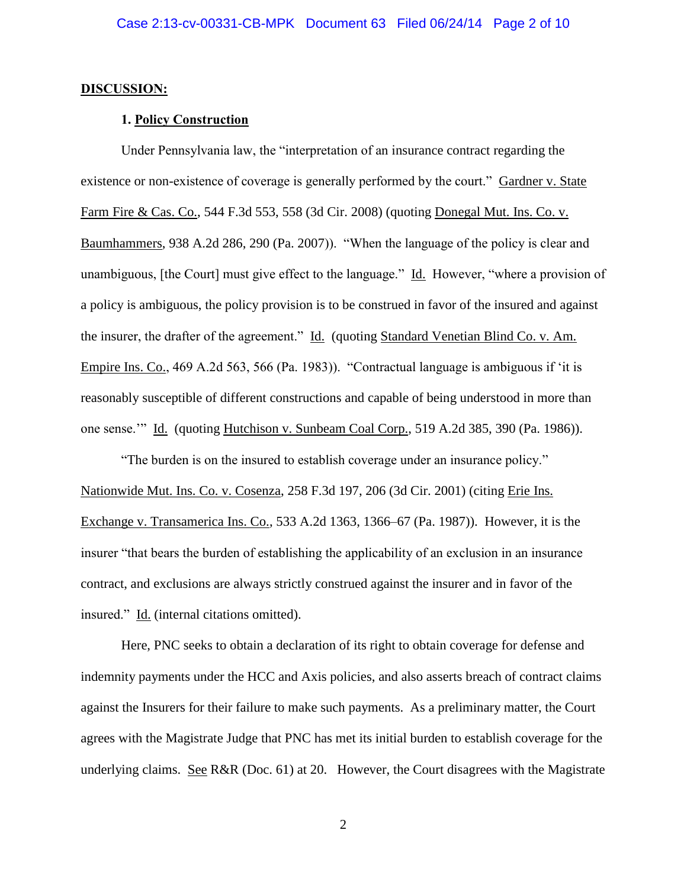#### **DISCUSSION:**

### **1. Policy Construction**

Under Pennsylvania law, the "interpretation of an insurance contract regarding the existence or non-existence of coverage is generally performed by the court." Gardner v. State Farm Fire & Cas. Co., 544 F.3d 553, 558 (3d Cir. 2008) (quoting Donegal Mut. Ins. Co. v. Baumhammers, 938 A.2d 286, 290 (Pa. 2007)). "When the language of the policy is clear and unambiguous, [the Court] must give effect to the language." Id. However, "where a provision of a policy is ambiguous, the policy provision is to be construed in favor of the insured and against the insurer, the drafter of the agreement." Id. (quoting Standard Venetian Blind Co. v. Am. Empire Ins. Co., 469 A.2d 563, 566 (Pa. 1983)). "Contractual language is ambiguous if 'it is reasonably susceptible of different constructions and capable of being understood in more than one sense.'" Id. (quoting Hutchison v. Sunbeam Coal Corp., 519 A.2d 385, 390 (Pa. 1986)).

"The burden is on the insured to establish coverage under an insurance policy." Nationwide Mut. Ins. Co. v. Cosenza, 258 F.3d 197, 206 (3d Cir. 2001) (citing Erie Ins. Exchange v. Transamerica Ins. Co., 533 A.2d 1363, 1366–67 (Pa. 1987)). However, it is the insurer "that bears the burden of establishing the applicability of an exclusion in an insurance contract, and exclusions are always strictly construed against the insurer and in favor of the insured." Id. (internal citations omitted).

Here, PNC seeks to obtain a declaration of its right to obtain coverage for defense and indemnity payments under the HCC and Axis policies, and also asserts breach of contract claims against the Insurers for their failure to make such payments. As a preliminary matter, the Court agrees with the Magistrate Judge that PNC has met its initial burden to establish coverage for the underlying claims. See R&R (Doc. 61) at 20. However, the Court disagrees with the Magistrate

2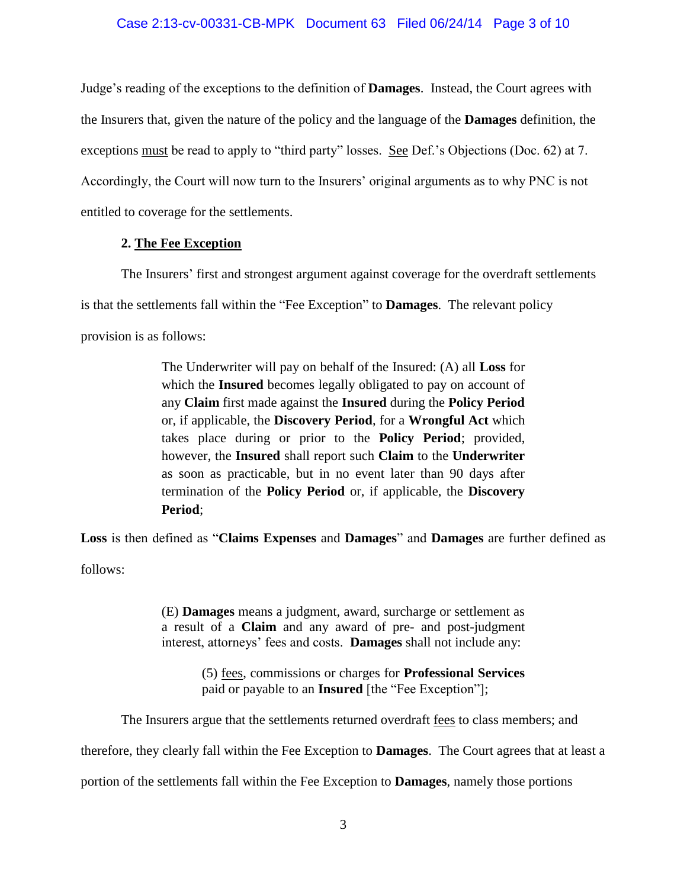### Case 2:13-cv-00331-CB-MPK Document 63 Filed 06/24/14 Page 3 of 10

Judge's reading of the exceptions to the definition of **Damages**. Instead, the Court agrees with the Insurers that, given the nature of the policy and the language of the **Damages** definition, the exceptions must be read to apply to "third party" losses. See Def.'s Objections (Doc. 62) at 7. Accordingly, the Court will now turn to the Insurers' original arguments as to why PNC is not entitled to coverage for the settlements.

### **2. The Fee Exception**

The Insurers' first and strongest argument against coverage for the overdraft settlements is that the settlements fall within the "Fee Exception" to **Damages**. The relevant policy provision is as follows:

> The Underwriter will pay on behalf of the Insured: (A) all **Loss** for which the **Insured** becomes legally obligated to pay on account of any **Claim** first made against the **Insured** during the **Policy Period** or, if applicable, the **Discovery Period**, for a **Wrongful Act** which takes place during or prior to the **Policy Period**; provided, however, the **Insured** shall report such **Claim** to the **Underwriter** as soon as practicable, but in no event later than 90 days after termination of the **Policy Period** or, if applicable, the **Discovery Period**;

**Loss** is then defined as "**Claims Expenses** and **Damages**" and **Damages** are further defined as follows:

> (E) **Damages** means a judgment, award, surcharge or settlement as a result of a **Claim** and any award of pre- and post-judgment interest, attorneys' fees and costs. **Damages** shall not include any:

> > (5) fees, commissions or charges for **Professional Services** paid or payable to an **Insured** [the "Fee Exception"];

The Insurers argue that the settlements returned overdraft fees to class members; and

therefore, they clearly fall within the Fee Exception to **Damages**. The Court agrees that at least a

portion of the settlements fall within the Fee Exception to **Damages**, namely those portions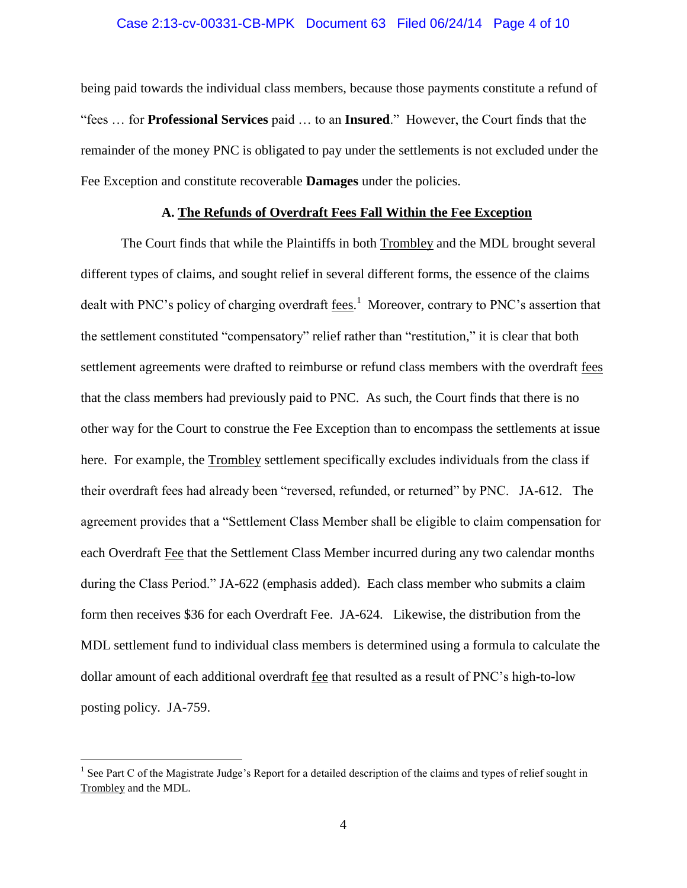### Case 2:13-cv-00331-CB-MPK Document 63 Filed 06/24/14 Page 4 of 10

being paid towards the individual class members, because those payments constitute a refund of "fees … for **Professional Services** paid … to an **Insured**." However, the Court finds that the remainder of the money PNC is obligated to pay under the settlements is not excluded under the Fee Exception and constitute recoverable **Damages** under the policies.

## **A. The Refunds of Overdraft Fees Fall Within the Fee Exception**

The Court finds that while the Plaintiffs in both Trombley and the MDL brought several different types of claims, and sought relief in several different forms, the essence of the claims dealt with PNC's policy of charging overdraft <u>fees.</u><sup>1</sup> Moreover, contrary to PNC's assertion that the settlement constituted "compensatory" relief rather than "restitution," it is clear that both settlement agreements were drafted to reimburse or refund class members with the overdraft fees that the class members had previously paid to PNC. As such, the Court finds that there is no other way for the Court to construe the Fee Exception than to encompass the settlements at issue here. For example, the Trombley settlement specifically excludes individuals from the class if their overdraft fees had already been "reversed, refunded, or returned" by PNC. JA-612. The agreement provides that a "Settlement Class Member shall be eligible to claim compensation for each Overdraft Fee that the Settlement Class Member incurred during any two calendar months during the Class Period." JA-622 (emphasis added). Each class member who submits a claim form then receives \$36 for each Overdraft Fee. JA-624. Likewise, the distribution from the MDL settlement fund to individual class members is determined using a formula to calculate the dollar amount of each additional overdraft fee that resulted as a result of PNC's high-to-low posting policy. JA-759.

<sup>&</sup>lt;sup>1</sup> See Part C of the Magistrate Judge's Report for a detailed description of the claims and types of relief sought in Trombley and the MDL.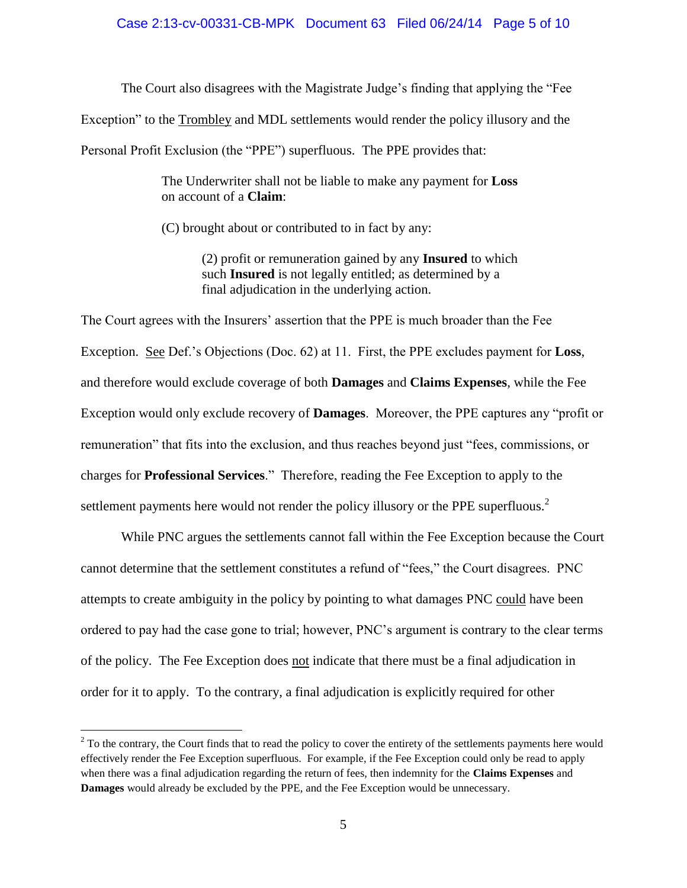# Case 2:13-cv-00331-CB-MPK Document 63 Filed 06/24/14 Page 5 of 10

The Court also disagrees with the Magistrate Judge's finding that applying the "Fee Exception" to the Trombley and MDL settlements would render the policy illusory and the Personal Profit Exclusion (the "PPE") superfluous. The PPE provides that:

> The Underwriter shall not be liable to make any payment for **Loss** on account of a **Claim**:

(C) brought about or contributed to in fact by any:

(2) profit or remuneration gained by any **Insured** to which such **Insured** is not legally entitled; as determined by a final adjudication in the underlying action.

The Court agrees with the Insurers' assertion that the PPE is much broader than the Fee Exception. See Def.'s Objections (Doc. 62) at 11. First, the PPE excludes payment for **Loss**, and therefore would exclude coverage of both **Damages** and **Claims Expenses**, while the Fee Exception would only exclude recovery of **Damages**. Moreover, the PPE captures any "profit or remuneration" that fits into the exclusion, and thus reaches beyond just "fees, commissions, or charges for **Professional Services**." Therefore, reading the Fee Exception to apply to the settlement payments here would not render the policy illusory or the PPE superfluous.<sup>2</sup>

While PNC argues the settlements cannot fall within the Fee Exception because the Court cannot determine that the settlement constitutes a refund of "fees," the Court disagrees. PNC attempts to create ambiguity in the policy by pointing to what damages PNC could have been ordered to pay had the case gone to trial; however, PNC's argument is contrary to the clear terms of the policy. The Fee Exception does not indicate that there must be a final adjudication in order for it to apply. To the contrary, a final adjudication is explicitly required for other

 $2^2$  To the contrary, the Court finds that to read the policy to cover the entirety of the settlements payments here would effectively render the Fee Exception superfluous. For example, if the Fee Exception could only be read to apply when there was a final adjudication regarding the return of fees, then indemnity for the **Claims Expenses** and **Damages** would already be excluded by the PPE, and the Fee Exception would be unnecessary.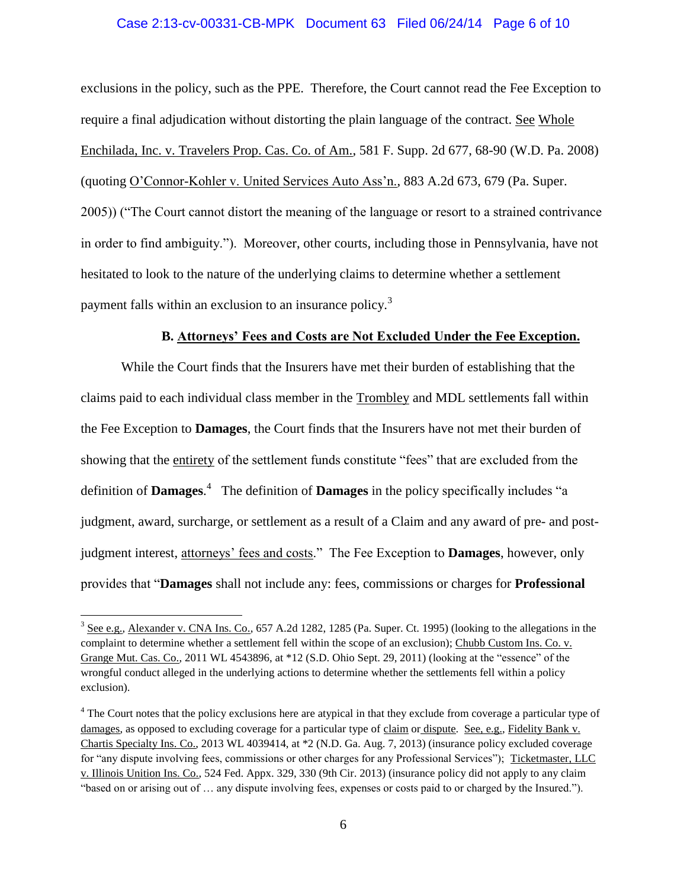### Case 2:13-cv-00331-CB-MPK Document 63 Filed 06/24/14 Page 6 of 10

exclusions in the policy, such as the PPE. Therefore, the Court cannot read the Fee Exception to require a final adjudication without distorting the plain language of the contract. See Whole Enchilada, Inc. v. Travelers Prop. Cas. Co. of Am., 581 F. Supp. 2d 677, 68-90 (W.D. Pa. 2008) (quoting O'Connor-Kohler v. United Services Auto Ass'n., 883 A.2d 673, 679 (Pa. Super. 2005)) ("The Court cannot distort the meaning of the language or resort to a strained contrivance in order to find ambiguity."). Moreover, other courts, including those in Pennsylvania, have not hesitated to look to the nature of the underlying claims to determine whether a settlement payment falls within an exclusion to an insurance policy.<sup>3</sup>

## **B. Attorneys' Fees and Costs are Not Excluded Under the Fee Exception.**

While the Court finds that the Insurers have met their burden of establishing that the claims paid to each individual class member in the Trombley and MDL settlements fall within the Fee Exception to **Damages**, the Court finds that the Insurers have not met their burden of showing that the entirety of the settlement funds constitute "fees" that are excluded from the definition of **Damages**. 4 The definition of **Damages** in the policy specifically includes "a judgment, award, surcharge, or settlement as a result of a Claim and any award of pre- and postjudgment interest, attorneys' fees and costs." The Fee Exception to **Damages**, however, only provides that "**Damages** shall not include any: fees, commissions or charges for **Professional** 

 $3$  See e.g., Alexander v. CNA Ins. Co., 657 A.2d 1282, 1285 (Pa. Super. Ct. 1995) (looking to the allegations in the complaint to determine whether a settlement fell within the scope of an exclusion); Chubb Custom Ins. Co. v. Grange Mut. Cas. Co., 2011 WL 4543896, at \*12 (S.D. Ohio Sept. 29, 2011) (looking at the "essence" of the wrongful conduct alleged in the underlying actions to determine whether the settlements fell within a policy exclusion).

<sup>&</sup>lt;sup>4</sup> The Court notes that the policy exclusions here are atypical in that they exclude from coverage a particular type of damages, as opposed to excluding coverage for a particular type of claim or dispute. See, e.g., Fidelity Bank v. Chartis Specialty Ins. Co., 2013 WL 4039414, at \*2 (N.D. Ga. Aug. 7, 2013) (insurance policy excluded coverage for "any dispute involving fees, commissions or other charges for any Professional Services"); Ticketmaster, LLC v. Illinois Unition Ins. Co., 524 Fed. Appx. 329, 330 (9th Cir. 2013) (insurance policy did not apply to any claim "based on or arising out of … any dispute involving fees, expenses or costs paid to or charged by the Insured.").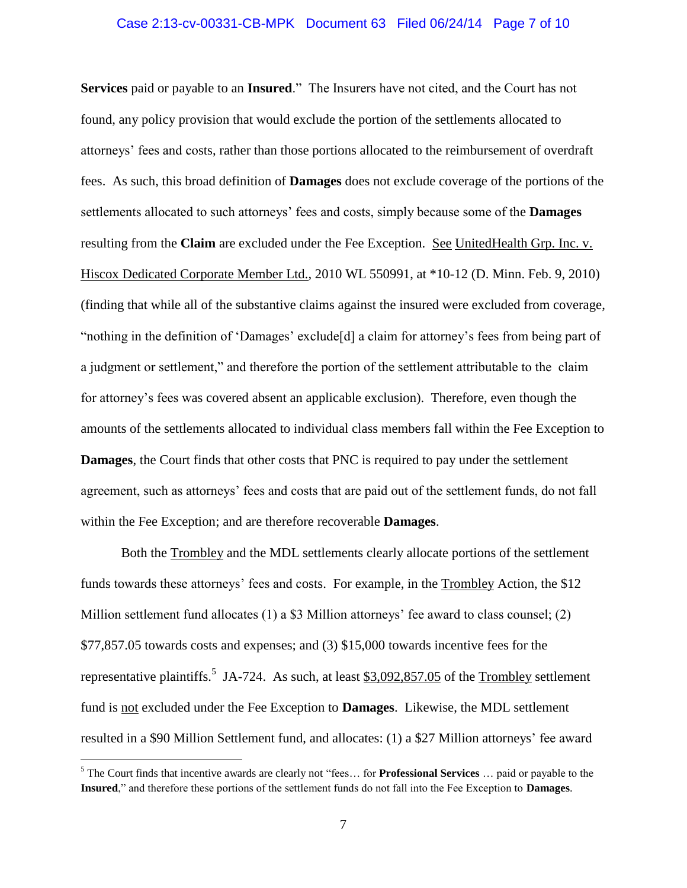### Case 2:13-cv-00331-CB-MPK Document 63 Filed 06/24/14 Page 7 of 10

**Services** paid or payable to an **Insured**." The Insurers have not cited, and the Court has not found, any policy provision that would exclude the portion of the settlements allocated to attorneys' fees and costs, rather than those portions allocated to the reimbursement of overdraft fees. As such, this broad definition of **Damages** does not exclude coverage of the portions of the settlements allocated to such attorneys' fees and costs, simply because some of the **Damages** resulting from the **Claim** are excluded under the Fee Exception. See UnitedHealth Grp. Inc. v. Hiscox Dedicated Corporate Member Ltd., 2010 WL 550991, at \*10-12 (D. Minn. Feb. 9, 2010) (finding that while all of the substantive claims against the insured were excluded from coverage, "nothing in the definition of 'Damages' exclude[d] a claim for attorney's fees from being part of a judgment or settlement," and therefore the portion of the settlement attributable to the claim for attorney's fees was covered absent an applicable exclusion). Therefore, even though the amounts of the settlements allocated to individual class members fall within the Fee Exception to **Damages**, the Court finds that other costs that PNC is required to pay under the settlement agreement, such as attorneys' fees and costs that are paid out of the settlement funds, do not fall within the Fee Exception; and are therefore recoverable **Damages**.

Both the Trombley and the MDL settlements clearly allocate portions of the settlement funds towards these attorneys' fees and costs. For example, in the Trombley Action, the \$12 Million settlement fund allocates (1) a \$3 Million attorneys' fee award to class counsel; (2) \$77,857.05 towards costs and expenses; and (3) \$15,000 towards incentive fees for the representative plaintiffs.<sup>5</sup> JA-724. As such, at least  $$3,092,857.05$  of the Trombley settlement fund is not excluded under the Fee Exception to **Damages**. Likewise, the MDL settlement resulted in a \$90 Million Settlement fund, and allocates: (1) a \$27 Million attorneys' fee award

<sup>5</sup> The Court finds that incentive awards are clearly not "fees… for **Professional Services** … paid or payable to the **Insured**," and therefore these portions of the settlement funds do not fall into the Fee Exception to **Damages**.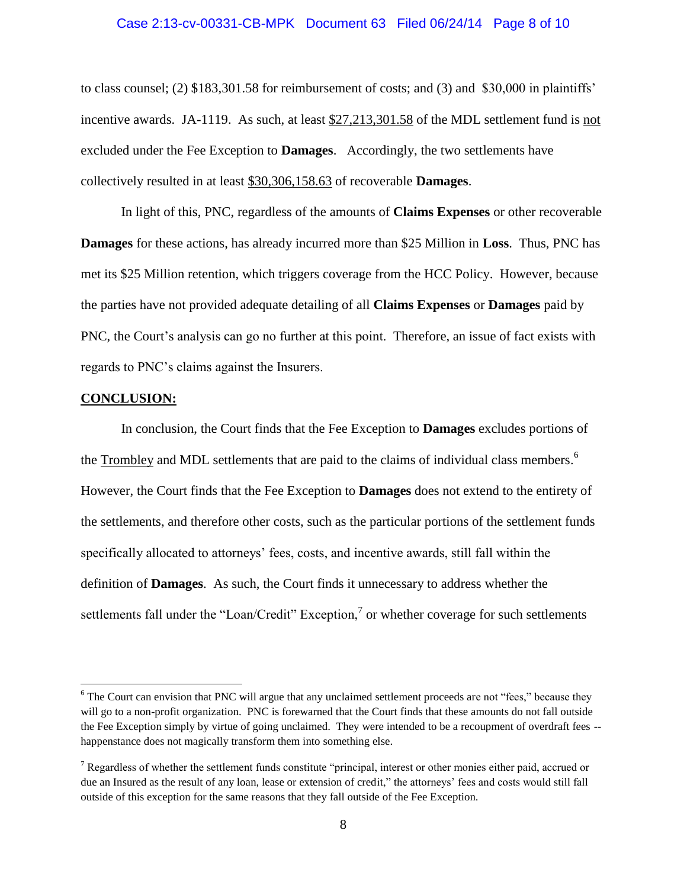#### Case 2:13-cv-00331-CB-MPK Document 63 Filed 06/24/14 Page 8 of 10

to class counsel; (2) \$183,301.58 for reimbursement of costs; and (3) and \$30,000 in plaintiffs' incentive awards. JA-1119. As such, at least \$27,213,301.58 of the MDL settlement fund is not excluded under the Fee Exception to **Damages**. Accordingly, the two settlements have collectively resulted in at least \$30,306,158.63 of recoverable **Damages**.

In light of this, PNC, regardless of the amounts of **Claims Expenses** or other recoverable **Damages** for these actions, has already incurred more than \$25 Million in **Loss**. Thus, PNC has met its \$25 Million retention, which triggers coverage from the HCC Policy. However, because the parties have not provided adequate detailing of all **Claims Expenses** or **Damages** paid by PNC, the Court's analysis can go no further at this point. Therefore, an issue of fact exists with regards to PNC's claims against the Insurers.

### **CONCLUSION:**

 $\overline{a}$ 

In conclusion, the Court finds that the Fee Exception to **Damages** excludes portions of the Trombley and MDL settlements that are paid to the claims of individual class members.<sup>6</sup> However, the Court finds that the Fee Exception to **Damages** does not extend to the entirety of the settlements, and therefore other costs, such as the particular portions of the settlement funds specifically allocated to attorneys' fees, costs, and incentive awards, still fall within the definition of **Damages**. As such, the Court finds it unnecessary to address whether the settlements fall under the "Loan/Credit" Exception, $\frac{7}{1}$  or whether coverage for such settlements

 $6$  The Court can envision that PNC will argue that any unclaimed settlement proceeds are not "fees," because they will go to a non-profit organization. PNC is forewarned that the Court finds that these amounts do not fall outside the Fee Exception simply by virtue of going unclaimed. They were intended to be a recoupment of overdraft fees - happenstance does not magically transform them into something else.

<sup>7</sup> Regardless of whether the settlement funds constitute "principal, interest or other monies either paid, accrued or due an Insured as the result of any loan, lease or extension of credit," the attorneys' fees and costs would still fall outside of this exception for the same reasons that they fall outside of the Fee Exception.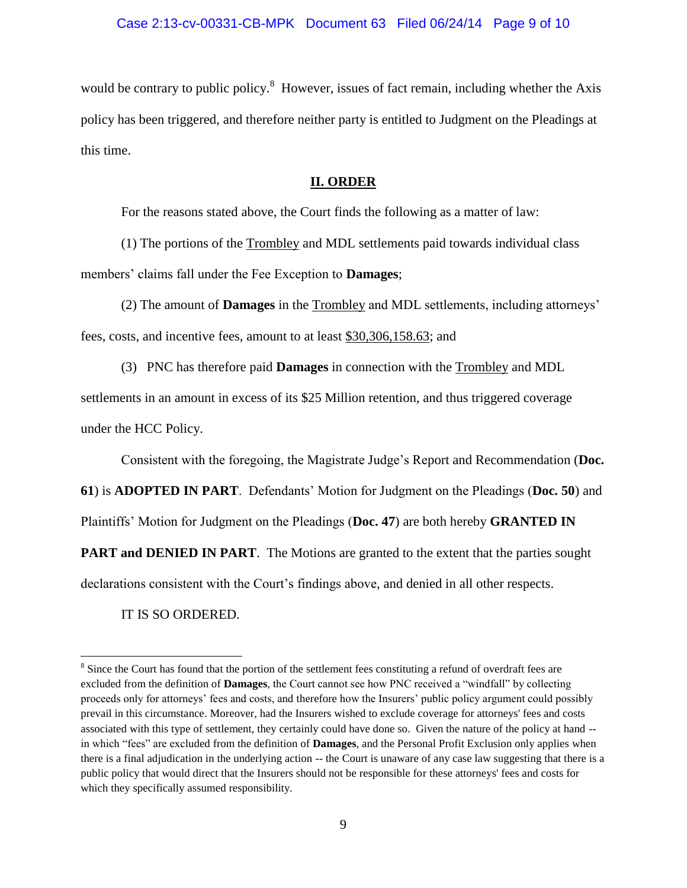### Case 2:13-cv-00331-CB-MPK Document 63 Filed 06/24/14 Page 9 of 10

would be contrary to public policy. $^8$  However, issues of fact remain, including whether the Axis policy has been triggered, and therefore neither party is entitled to Judgment on the Pleadings at this time.

### **II. ORDER**

For the reasons stated above, the Court finds the following as a matter of law:

(1) The portions of the Trombley and MDL settlements paid towards individual class members' claims fall under the Fee Exception to **Damages**;

(2) The amount of **Damages** in the Trombley and MDL settlements, including attorneys' fees, costs, and incentive fees, amount to at least \$30,306,158.63; and

(3) PNC has therefore paid **Damages** in connection with the Trombley and MDL settlements in an amount in excess of its \$25 Million retention, and thus triggered coverage under the HCC Policy.

Consistent with the foregoing, the Magistrate Judge's Report and Recommendation (**Doc.** 

**61**) is **ADOPTED IN PART**. Defendants' Motion for Judgment on the Pleadings (**Doc. 50**) and

Plaintiffs' Motion for Judgment on the Pleadings (**Doc. 47**) are both hereby **GRANTED IN** 

**PART and DENIED IN PART**. The Motions are granted to the extent that the parties sought

declarations consistent with the Court's findings above, and denied in all other respects.

IT IS SO ORDERED.

 $8$  Since the Court has found that the portion of the settlement fees constituting a refund of overdraft fees are excluded from the definition of **Damages**, the Court cannot see how PNC received a "windfall" by collecting proceeds only for attorneys' fees and costs, and therefore how the Insurers' public policy argument could possibly prevail in this circumstance. Moreover, had the Insurers wished to exclude coverage for attorneys' fees and costs associated with this type of settlement, they certainly could have done so. Given the nature of the policy at hand - in which "fees" are excluded from the definition of **Damages**, and the Personal Profit Exclusion only applies when there is a final adjudication in the underlying action -- the Court is unaware of any case law suggesting that there is a public policy that would direct that the Insurers should not be responsible for these attorneys' fees and costs for which they specifically assumed responsibility.